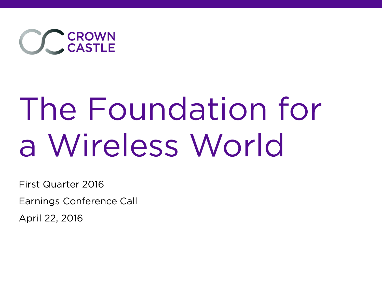

# The Foundation for a Wireless World

First Quarter 2016

Earnings Conference Call

April 22, 2016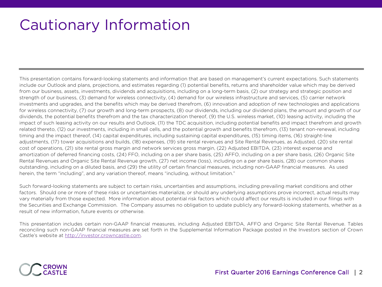## Cautionary Information

This presentation contains forward-looking statements and information that are based on management's current expectations. Such statements include our Outlook and plans, projections, and estimates regarding (1) potential benefits, returns and shareholder value which may be derived from our business, assets, investments, dividends and acquisitions, including on a long-term basis, (2) our strategy and strategic position and strength of our business, (3) demand for wireless connectivity, (4) demand for our wireless infrastructure and services, (5) carrier network investments and upgrades, and the benefits which may be derived therefrom, (6) innovation and adoption of new technologies and applications for wireless connectivity, (7) our growth and long-term prospects, (8) our dividends, including our dividend plans, the amount and growth of our dividends, the potential benefits therefrom and the tax characterization thereof, (9) the U.S. wireless market, (10) leasing activity, including the impact of such leasing activity on our results and Outlook, (11) the TDC acquisition, including potential benefits and impact therefrom and growth related thereto, (12) our investments, including in small cells, and the potential growth and benefits therefrom, (13) tenant non-renewal, including timing and the impact thereof, (14) capital expenditures, including sustaining capital expenditures, (15) timing items, (16) straight-line adjustments, (17) tower acquisitions and builds, (18) expenses, (19) site rental revenues and Site Rental Revenues, as Adjusted, (20) site rental cost of operations, (21) site rental gross margin and network services gross margin, (22) Adjusted EBITDA, (23) interest expense and amortization of deferred financing costs, (24) FFO, including on a per share basis, (25) AFFO, including on a per share basis, (26) Organic Site Rental Revenues and Organic Site Rental Revenue growth, (27) net income (loss), including on a per share basis, (28) our common shares outstanding, including on a diluted basis, and (29) the utility of certain financial measures, including non-GAAP financial measures. As used herein, the term "including", and any variation thereof, means "including, without limitation."

Such forward-looking statements are subject to certain risks, uncertainties and assumptions, including prevailing market conditions and other factors. Should one or more of these risks or uncertainties materialize, or should any underlying assumptions prove incorrect, actual results may vary materially from those expected. More information about potential risk factors which could affect our results is included in our filings with the Securities and Exchange Commission. The Company assumes no obligation to update publicly any forward-looking statements, whether as a result of new information, future events or otherwise.

This presentation includes certain non-GAAP financial measures, including Adjusted EBITDA, AFFO and Organic Site Rental Revenue. Tables reconciling such non-GAAP financial measures are set forth in the Supplemental Information Package posted in the Investors section of Crown Castle's website at http://investor.crowncastle.com.

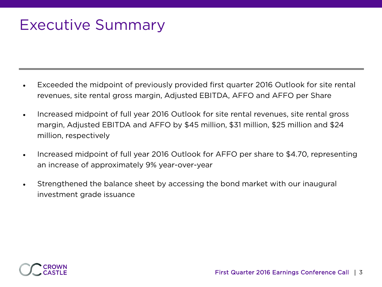## Executive Summary

- Exceeded the midpoint of previously provided first quarter 2016 Outlook for site rental revenues, site rental gross margin, Adjusted EBITDA, AFFO and AFFO per Share
- Increased midpoint of full year 2016 Outlook for site rental revenues, site rental gross margin, Adjusted EBITDA and AFFO by \$45 million, \$31 million, \$25 million and \$24 million, respectively
- Increased midpoint of full year 2016 Outlook for AFFO per share to \$4.70, representing an increase of approximately 9% year-over-year
- Strengthened the balance sheet by accessing the bond market with our inaugural investment grade issuance

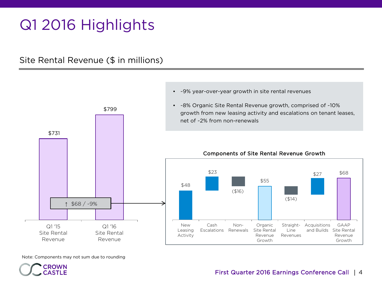# Q1 2016 Highlights

#### Site Rental Revenue (\$ in millions)



Note: Components may not sum due to rounding

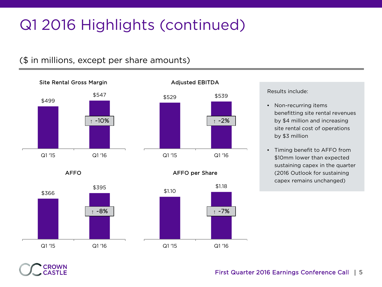# Q1 2016 Highlights (continued)

#### (\$ in millions, except per share amounts)





AFFO per Share

AFFO



Results include:

- Non-recurring items benefitting site rental revenues by \$4 million and increasing site rental cost of operations by \$3 million
- Timing benefit to AFFO from \$10mm lower than expected sustaining capex in the quarter (2016 Outlook for sustaining capex remains unchanged)

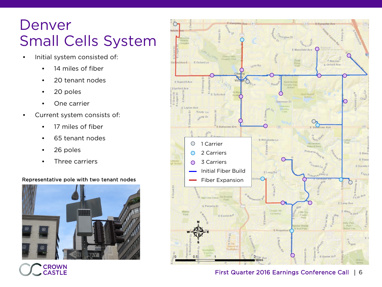#### Denver Small Cells System

- Initial system consisted of:
	- 14 miles of fiber
	- 20 tenant nodes
	- 20 poles
	- One carrier
- Current system consists of:
	- 17 miles of fiber
	- 65 tenant nodes
	- 26 poles
	- Three carriers

#### Representative pole with two tenant nodes Fiber Expansion



en Ave 25 Vington Dr E Mansfield Ave & Nassay rd Ave E E Oxford Ln E Oxford Ave Lynn Rd E Radcliff Ave **Stanford Ave** E Tutts Ave Glenmoor Dr E Layton Ave South Ln ung Dr E Will amette Ln  $\bigcirc$ 1 Carrier 2 Carriers С E Berry E Powe 3 Carriers ◯ E Dorado Initial Fiber Build ELongRd **brehi** EFair Ave High Line Canal De Kove E.Caley Ave E Panama Dr Phinti E Euclid Av<sup>e</sup> on Middle E Arapaho E Easter Av<sup>e</sup>

#### First Quarter 2016 Earnings Conference Call | 6

 $\varepsilon_{l_{d,1}}$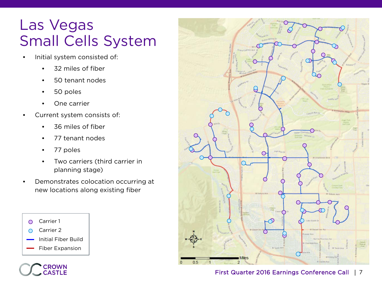#### Las Vegas Small Cells System

- Initial system consisted of:
	- 32 miles of fiber
	- 50 tenant nodes
	- 50 poles
	- One carrier
- Current system consists of:
	- 36 miles of fiber
	- 77 tenant nodes
	- 77 poles
	- Two carriers (third carrier in planning stage)
- Demonstrates colocation occurring at new locations along existing fiber